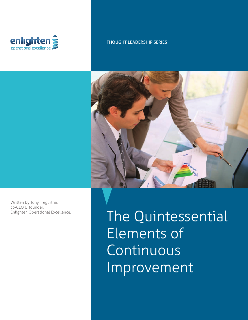

### THOUGHT LEADERSHIP SERIES



Written by Tony Tregurtha, co-CEO & founder, Enlighten Operational Excellence.

The Quintessential Elements of Continuous Improvement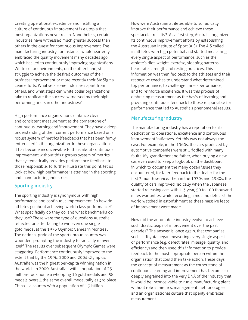Creating operational excellence and instilling a culture of continuous improvement is a utopia that most organizations never reach. Nonetheless, certain industries have witnessed much greater success than others in the quest for continuous improvement. The manufacturing industry, for instance, wholeheartedly embraced the quality movement many decades ago, which has led to continuously improving organizations. White collar environments, on the other hand, still struggle to achieve the desired outcomes of their business improvement or more recently their Six Sigma Lean efforts. What sets some industries apart from others, and what steps can white collar organizations take to replicate the success witnessed by their high performing peers in other industries?

High performance organizations embrace clear and consistent measurement as the cornerstone of continuous learning and improvement. They have a deep understanding of their current performance based on a robust system of metrics (feedback) that has been firmly entrenched in the organization. In these organizations, it has become inconceivable to think about continuous improvement without this rigorous system of metrics that systematically provides performance feedback to those responsible. To further illustrate this point, let us look at how high performance is attained in the sporting and manufacturing industries.

### Sporting industry

The sporting industry is synonymous with high performance and continuous improvement. So how do athletes go about achieving world-class performance? What specifically do they do, and what benchmarks do they use? These were the type of questions Australia reflected on after failing to win even one single gold medal at the 1976 Olympic Games in Montreal. The national pride of the sports-proud country was wounded, prompting the industry to radically reinvent itself. The results over subsequent Olympic Games were staggering. Performance continuously improved to the extent that by the 1996, 2000 and 2004 Olympics, Australia was the highest per-capita winning nation in the world. In 2000, Australia - with a population of 23 million- took home a whopping 16 gold medals and 58 medals overall, the same overall medal tally as 3rd place China - a country with a population of 1.3 billion.

How were Australian athletes able to so radically improve their performance and achieve these spectacular results? As a first step, Australia organized its continuous improvement efforts by establishing the Australian Institute of Sport (AIS). The AIS called in athletes with high potential and started measuring every single aspect of performance, such as the athlete's diet, weight, exercise, sleeping patterns, heart rate, strength and resting practices. This information was then fed back to the athletes and their respective coaches to understand what determined top performance, to challenge under-performance, and to reinforce excellence. It was this process of embracing measurement as the basis of learning and providing continuous feedback to those responsible for performance that led to Australia's phenomenal results.

## Manufacturing industry

The manufacturing industry has a reputation for its dedication to operational excellence and continuous improvement initiatives. Yet this was not always the case. For example, in the 1960s, the cars produced by automotive companies were still riddled with many faults. My grandfather and father, when buying a new car, even used to keep a logbook on the dashboard in which to document the many dozen issues they encountered, for later feedback to the dealer for the first 3 month service. Then in the 1970s and 1980s, the quality of cars improved radically when the Japanese started releasing cars with 1-3 year, 50 to 100 thousand miles warranties, while recording almost no defects! The world watched in astonishment as these massive leaps of improvement were made.

How did the automobile industry evolve to achieve such drastic leaps of improvement over the past decades? The answer is, once again, that companies such as Toyota began measuring every single aspect of performance (e.g. defect rates, mileage, quality, and efficiency) and then used this information to provide feedback to the most appropriate person within the organization that could then take action. These days, the concept of measurement as the cornerstone of continuous learning and improvement has become so deeply engrained into the very DNA of the industry that it would be inconceivable to run a manufacturing plant without robust metrics, management methodologies and an organizational culture that openly embraces measurement.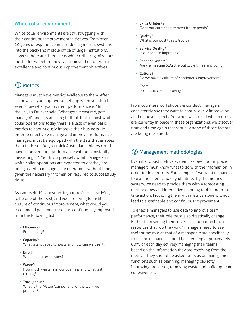### White collar environments

White collar environments are still struggling with their continuous improvement initiatives. From over 20 years of experience in introducing metrics systems into the back-and middle office of large institutions, I suggest there are three areas white collar organizations must address before they can achieve their operational excellence and continuous improvement objectives:

# Metrics

Managers must have metrics available to them. After all, how can you improve something when you don't even know what your current performance is? In the 1950s Drucker said "What gets measured, gets managed" and it is amazing to think that in most white collar operations today there is a lack of even basic metrics to continuously improve their business. In order to effectively manage and improve performance, managers must be equipped with the data that enables them to do so. Do you think Australian athletes could have improved their performance without constantly measuring it? Yet this is precisely what managers in white collar operations are expected to do: they are being asked to manage daily operations without being given the necessary information required to successfully do so.

Ask yourself this question: if your business is striving to be one of the best, and you are trying to instill a culture of continuous improvement, what would you recommend gets measured and continuously improved from the following list?

- Efficiency? Productivity?
- Capacity? What latent capacity exists and how can we use it?
- Error? What are our error rates?
- Waste?

How much waste is in our business and what is it costing?

#### • Throughput?

What is the "Value Component" of the work we produce?

- Skills & talent? Does our current state meet future needs?
- Quality? What is our quality rate/score?
- Service Quality? Is our service improving?
- Responsiveness? Are we meeting SLA? Are out cycle times improving?
- Culture? Do we have a culture of continuous improvement?
- Costs? Is our unit cost improving?

From countless workshops we conduct, managers consistently say they want to continuously improve on all the above aspects. Yet when we look at what metrics are currently in place in these organizations, we discover time and time again that virtually none of those factors are being measured.

## Management methodologies

Even if a robust metrics system has been put in place, managers must know what to do with the information in order to drive results. For example, if we want managers to use the latent capacity identified by the metrics system, we need to provide them with a forecasting methodology and interactive planning tool in order to take action. Providing them with metrics alone will not lead to sustainable and continuous improvement.

To enable managers to use data to improve team performance, their role must also drastically change. Rather than seeing themselves as superior technical resources that "do the work," managers need to see their prime role as that of a manager. More specifically, front-line managers should be spending approximately 80% of each day actively managing their teams based on the information they are receiving from the metrics. They should be asked to focus on management functions such as planning, managing capacity, improving processes, removing waste and building team cohesiveness.